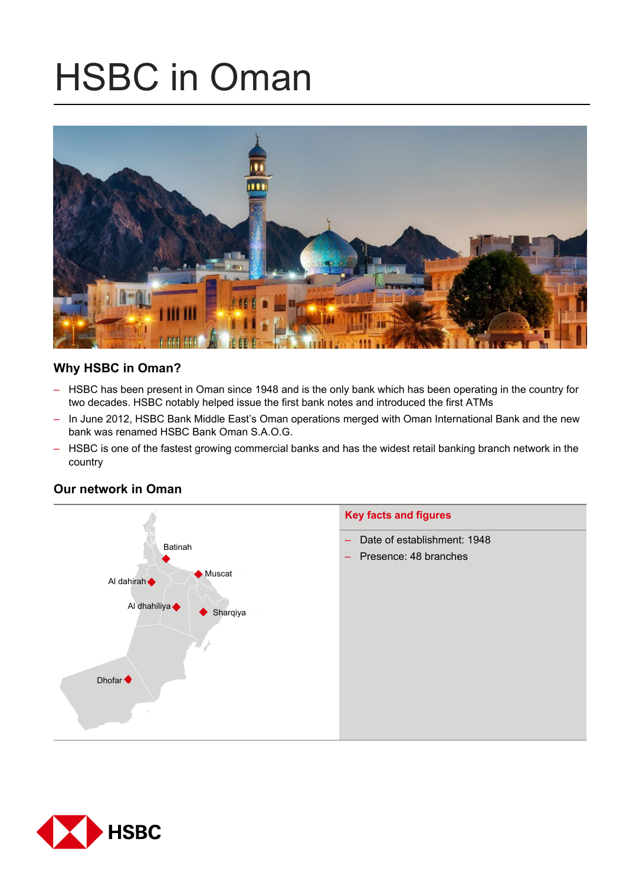# HSBC in Oman



# **Why HSBC in Oman?**

- HSBC has been present in Oman since 1948 and is the only bank which has been operating in the country for two decades. HSBC notably helped issue the first bank notes and introduced the first ATMs
- In June 2012, HSBC Bank Middle East's Oman operations merged with Oman International Bank and the new bank was renamed HSBC Bank Oman S.A.O.G.
- HSBC is one of the fastest growing commercial banks and has the widest retail banking branch network in the country



# **Our network in Oman**